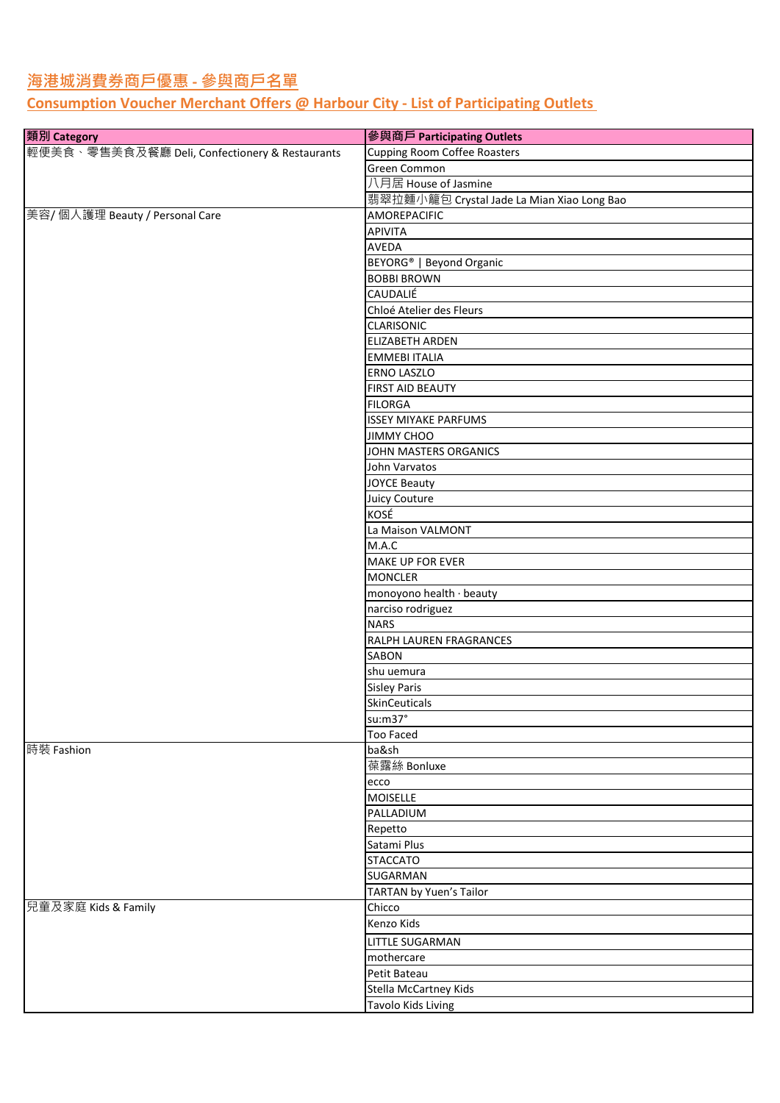## **海港城消費券商戶優惠 - 參與商戶名單**

## **Consumption Voucher Merchant Offers @ Harbour City - List of Participating Outlets**

| 類別 Category                                    | 參與商戶 Participating Outlets                 |
|------------------------------------------------|--------------------------------------------|
| 輕便美食、零售美食及餐廳 Deli, Confectionery & Restaurants | <b>Cupping Room Coffee Roasters</b>        |
|                                                | Green Common                               |
|                                                | 八月居 House of Jasmine                       |
|                                                | 翡翠拉麵小籠包 Crystal Jade La Mian Xiao Long Bao |
| 美容/ 個人護理 Beauty / Personal Care                | AMOREPACIFIC                               |
|                                                | APIVITA                                    |
|                                                | AVEDA                                      |
|                                                | BEYORG <sup>®</sup>   Beyond Organic       |
|                                                | <b>BOBBI BROWN</b>                         |
|                                                | <b>CAUDALIÉ</b>                            |
|                                                | Chloé Atelier des Fleurs                   |
|                                                | <b>CLARISONIC</b>                          |
|                                                | ELIZABETH ARDEN                            |
|                                                | <b>EMMEBI ITALIA</b>                       |
|                                                | <b>ERNO LASZLO</b>                         |
|                                                | <b>FIRST AID BEAUTY</b>                    |
|                                                | <b>FILORGA</b>                             |
|                                                |                                            |
|                                                | <b>ISSEY MIYAKE PARFUMS</b>                |
|                                                | <b>JIMMY CHOO</b>                          |
|                                                | JOHN MASTERS ORGANICS                      |
|                                                | John Varvatos                              |
|                                                | <b>JOYCE Beauty</b>                        |
|                                                | Juicy Couture                              |
|                                                | KOSÉ                                       |
|                                                | La Maison VALMONT                          |
|                                                | M.A.C                                      |
|                                                | <b>MAKE UP FOR EVER</b>                    |
|                                                | <b>MONCLER</b>                             |
|                                                | monoyono health · beauty                   |
|                                                | narciso rodriguez                          |
|                                                | <b>NARS</b>                                |
|                                                | RALPH LAUREN FRAGRANCES                    |
|                                                | SABON                                      |
|                                                | shu uemura                                 |
|                                                | <b>Sisley Paris</b>                        |
|                                                | SkinCeuticals                              |
|                                                |                                            |
|                                                | su:m37°                                    |
|                                                | <b>Too Faced</b>                           |
| 時裝 Fashion                                     | ba&sh                                      |
|                                                | 葆露絲 Bonluxe                                |
|                                                | ecco                                       |
|                                                | <b>MOISELLE</b>                            |
|                                                | PALLADIUM                                  |
|                                                | Repetto                                    |
|                                                | Satami Plus                                |
|                                                | <b>STACCATO</b>                            |
|                                                | SUGARMAN                                   |
|                                                | TARTAN by Yuen's Tailor                    |
| 兒童及家庭 Kids & Family                            | Chicco                                     |
|                                                | Kenzo Kids                                 |
|                                                |                                            |
|                                                | LITTLE SUGARMAN                            |
|                                                | mothercare                                 |
|                                                | Petit Bateau                               |
|                                                | Stella McCartney Kids                      |
|                                                | Tavolo Kids Living                         |